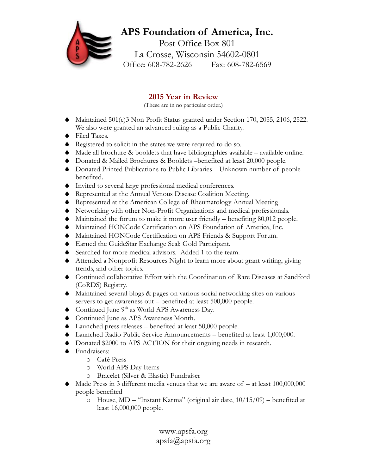## **APS Foundation of America, Inc.** Post Office Box 801 La Crosse, Wisconsin 54602-0801 Office: 608-782-2626 Fax: 608-782-6569

## **2015 Year in Review**

(These are in no particular order.)

- $\blacklozenge$  Maintained 501(c)3 Non Profit Status granted under Section 170, 2055, 2106, 2522. We also were granted an advanced ruling as a Public Charity.
- $\bullet$  Filed Taxes.
- $\bullet$  Registered to solicit in the states we were required to do so.
- $\blacklozenge$  Made all brochure & booklets that have bibliographies available available online.
- S Donated & Mailed Brochures & Booklets –benefited at least 20,000 people.
- $\bullet$  Donated Printed Publications to Public Libraries Unknown number of people benefited.
- $\bullet$  Invited to several large professional medical conferences.
- $\blacklozenge$  Represented at the Annual Venous Disease Coalition Meeting.
- S Represented at the American College of Rheumatology Annual Meeting
- S Networking with other Non-Profit Organizations and medical professionals.
- $\blacklozenge$  Maintained the forum to make it more user friendly benefiting 80,012 people.
- $\blacklozenge$  Maintained HONCode Certification on APS Foundation of America, Inc.
- $\blacklozenge$  Maintained HONCode Certification on APS Friends & Support Forum.
- S Earned the GuideStar Exchange Seal: Gold Participant.
- Searched for more medical advisors. Added 1 to the team.
- $\blacklozenge$  Attended a Nonprofit Resources Night to learn more about grant writing, giving trends, and other topics.
- S Continued collaborative Effort with the Coordination of Rare Diseases at Sandford (CoRDS) Registry.
- S Maintained several blogs & pages on various social networking sites on various servers to get awareness out – benefited at least 500,000 people.
- $\bullet$  Continued June 9<sup>th</sup> as World APS Awareness Day.
- ◆ Continued June as APS Awareness Month.
- $\blacklozenge$  Launched press releases benefited at least 50,000 people.
- $\blacklozenge$  Launched Radio Public Service Announcements benefited at least 1,000,000.
- Donated \$2000 to APS ACTION for their ongoing needs in research.
- $\bullet$  Fundraisers:
	- o Café Press
	- o World APS Day Items
	- o Bracelet (Silver & Elastic) Fundraiser
- Made Press in 3 different media venues that we are aware of  $-$  at least 100,000,000 people benefited
	- o House, MD "Instant Karma" (original air date, 10/15/09) benefited at least 16,000,000 people.

www.apsfa.org apsfa@apsfa.org